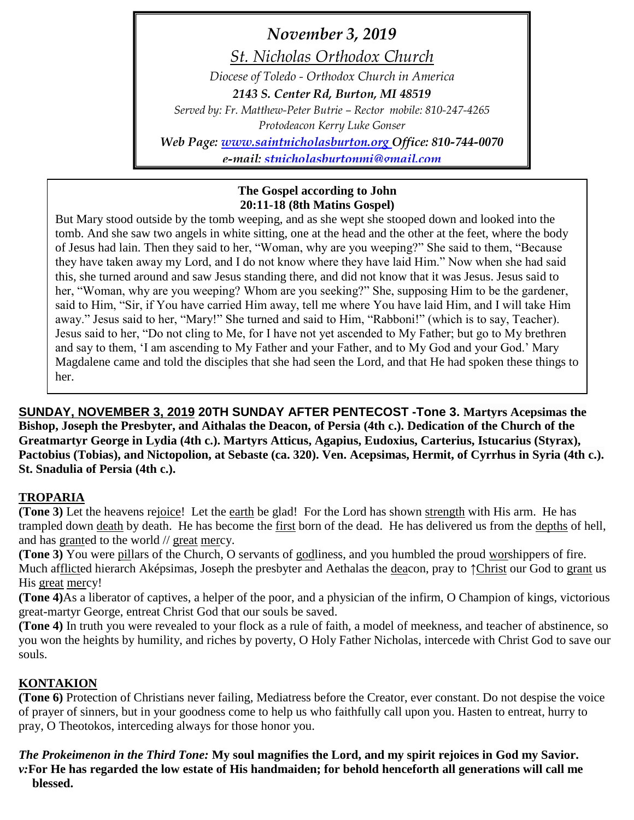*November 3, 2019 St. Nicholas Orthodox Church Diocese of Toledo - Orthodox Church in America 2143 S. Center Rd, Burton, MI 48519 Served by: Fr. Matthew-Peter Butrie – Rector mobile: 810-247-4265 Protodeacon Kerry Luke Gonser Web Page: [www.saintnicholasburton.org](http://www.saintnicholasburton.org/) Office: 810-744-0070 e-mail: [stnicholasburtonmi@gmail.com](mailto:stnicholasburtonmi@gmail.com)*

### **The Gospel according to John 20:11-18 (8th Matins Gospel)**

But Mary stood outside by the tomb weeping, and as she wept she stooped down and looked into the tomb. And she saw two angels in white sitting, one at the head and the other at the feet, where the body of Jesus had lain. Then they said to her, "Woman, why are you weeping?" She said to them, "Because they have taken away my Lord, and I do not know where they have laid Him." Now when she had said this, she turned around and saw Jesus standing there, and did not know that it was Jesus. Jesus said to her, "Woman, why are you weeping? Whom are you seeking?" She, supposing Him to be the gardener, said to Him, "Sir, if You have carried Him away, tell me where You have laid Him, and I will take Him away." Jesus said to her, "Mary!" She turned and said to Him, "Rabboni!" (which is to say, Teacher). Jesus said to her, "Do not cling to Me, for I have not yet ascended to My Father; but go to My brethren and say to them, 'I am ascending to My Father and your Father, and to My God and your God.' Mary Magdalene came and told the disciples that she had seen the Lord, and that He had spoken these things to her.

**SUNDAY, NOVEMBER 3, 2019 20TH SUNDAY AFTER PENTECOST -Tone 3. Martyrs Acepsimas the Bishop, Joseph the Presbyter, and Aithalas the Deacon, of Persia (4th c.). Dedication of the Church of the Greatmartyr George in Lydia (4th c.). Martyrs Atticus, Agapius, Eudoxius, Carterius, Istucarius (Styrax), Pactobius (Tobias), and Nictopolion, at Sebaste (ca. 320). Ven. Acepsimas, Hermit, of Cyrrhus in Syria (4th c.). St. Snadulia of Persia (4th c.).**

# **TROPARIA**

**(Tone 3)** Let the heavens rejoice! Let the earth be glad! For the Lord has shown strength with His arm. He has trampled down death by death. He has become the first born of the dead. He has delivered us from the depths of hell, and has granted to the world // great mercy.

**(Tone 3)** You were pillars of the Church, O servants of godliness, and you humbled the proud worshippers of fire. Much afflicted hierarch Aképsimas, Joseph the presbyter and Aethalas the deacon, pray to ↑Christ our God to grant us His great mercy!

**(Tone 4)**As a liberator of captives, a helper of the poor, and a physician of the infirm, O Champion of kings, victorious great-martyr George, entreat Christ God that our souls be saved.

**(Tone 4)** In truth you were revealed to your flock as a rule of faith, a model of meekness, and teacher of abstinence, so you won the heights by humility, and riches by poverty, O Holy Father Nicholas, intercede with Christ God to save our souls.

# **KONTAKION**

**(Tone 6)** Protection of Christians never failing, Mediatress before the Creator, ever constant. Do not despise the voice of prayer of sinners, but in your goodness come to help us who faithfully call upon you. Hasten to entreat, hurry to pray, O Theotokos, interceding always for those honor you.

#### *The Prokeimenon in the Third Tone:* **My soul magnifies the Lord, and my spirit rejoices in God my Savior.** *v:***For He has regarded the low estate of His handmaiden; for behold henceforth all generations will call me blessed.**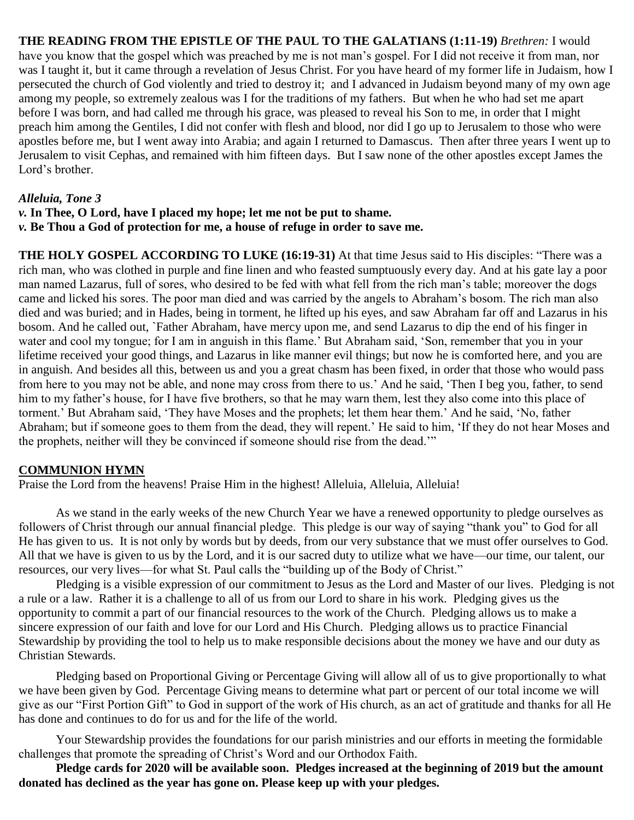**THE READING FROM THE EPISTLE OF THE PAUL TO THE GALATIANS (1:11-19)** *Brethren:* I would have you know that the gospel which was preached by me is not man's gospel. For I did not receive it from man, nor was I taught it, but it came through a revelation of Jesus Christ. For you have heard of my former life in Judaism, how I persecuted the church of God violently and tried to destroy it; and I advanced in Judaism beyond many of my own age among my people, so extremely zealous was I for the traditions of my fathers. But when he who had set me apart before I was born, and had called me through his grace, was pleased to reveal his Son to me, in order that I might preach him among the Gentiles, I did not confer with flesh and blood, nor did I go up to Jerusalem to those who were apostles before me, but I went away into Arabia; and again I returned to Damascus. Then after three years I went up to Jerusalem to visit Cephas, and remained with him fifteen days. But I saw none of the other apostles except James the Lord's brother.

### *Alleluia, Tone 3*

*v.* **In Thee, O Lord, have I placed my hope; let me not be put to shame.** *v.* **Be Thou a God of protection for me, a house of refuge in order to save me.**

**THE HOLY GOSPEL ACCORDING TO LUKE (16:19-31)** At that time Jesus said to His disciples: "There was a rich man, who was clothed in purple and fine linen and who feasted sumptuously every day. And at his gate lay a poor man named Lazarus, full of sores, who desired to be fed with what fell from the rich man's table; moreover the dogs came and licked his sores. The poor man died and was carried by the angels to Abraham's bosom. The rich man also died and was buried; and in Hades, being in torment, he lifted up his eyes, and saw Abraham far off and Lazarus in his bosom. And he called out, `Father Abraham, have mercy upon me, and send Lazarus to dip the end of his finger in water and cool my tongue; for I am in anguish in this flame.' But Abraham said, 'Son, remember that you in your lifetime received your good things, and Lazarus in like manner evil things; but now he is comforted here, and you are in anguish. And besides all this, between us and you a great chasm has been fixed, in order that those who would pass from here to you may not be able, and none may cross from there to us.' And he said, 'Then I beg you, father, to send him to my father's house, for I have five brothers, so that he may warn them, lest they also come into this place of torment.' But Abraham said, 'They have Moses and the prophets; let them hear them.' And he said, 'No, father Abraham; but if someone goes to them from the dead, they will repent.' He said to him, 'If they do not hear Moses and the prophets, neither will they be convinced if someone should rise from the dead.'"

### **COMMUNION HYMN**

Praise the Lord from the heavens! Praise Him in the highest! Alleluia, Alleluia, Alleluia!

As we stand in the early weeks of the new Church Year we have a renewed opportunity to pledge ourselves as followers of Christ through our annual financial pledge. This pledge is our way of saying "thank you" to God for all He has given to us. It is not only by words but by deeds, from our very substance that we must offer ourselves to God. All that we have is given to us by the Lord, and it is our sacred duty to utilize what we have—our time, our talent, our resources, our very lives—for what St. Paul calls the "building up of the Body of Christ."

Pledging is a visible expression of our commitment to Jesus as the Lord and Master of our lives. Pledging is not a rule or a law. Rather it is a challenge to all of us from our Lord to share in his work. Pledging gives us the opportunity to commit a part of our financial resources to the work of the Church. Pledging allows us to make a sincere expression of our faith and love for our Lord and His Church. Pledging allows us to practice Financial Stewardship by providing the tool to help us to make responsible decisions about the money we have and our duty as Christian Stewards.

Pledging based on Proportional Giving or Percentage Giving will allow all of us to give proportionally to what we have been given by God. Percentage Giving means to determine what part or percent of our total income we will give as our "First Portion Gift" to God in support of the work of His church, as an act of gratitude and thanks for all He has done and continues to do for us and for the life of the world.

Your Stewardship provides the foundations for our parish ministries and our efforts in meeting the formidable challenges that promote the spreading of Christ's Word and our Orthodox Faith.

**Pledge cards for 2020 will be available soon. Pledges increased at the beginning of 2019 but the amount donated has declined as the year has gone on. Please keep up with your pledges.**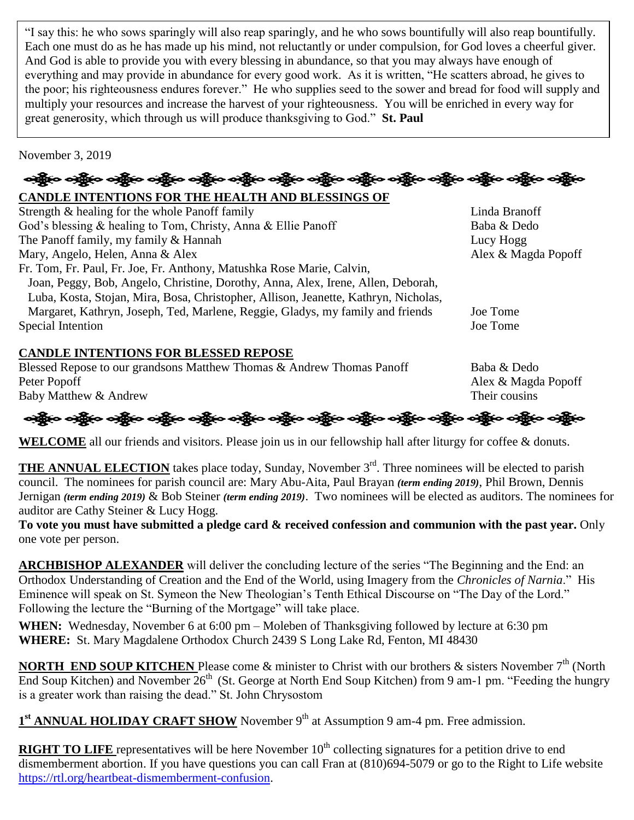"I say this: he who sows sparingly will also reap sparingly, and he who sows bountifully will also reap bountifully. Each one must do as he has made up his mind, not reluctantly or under compulsion, for God loves a cheerful giver. And God is able to provide you with every blessing in abundance, so that you may always have enough of everything and may provide in abundance for every good work. As it is written, "He scatters abroad, he gives to the poor; his righteousness endures forever." He who supplies seed to the sower and bread for food will supply and multiply your resources and increase the harvest of your righteousness. You will be enriched in every way for great generosity, which through us will produce thanksgiving to God." **St. Paul**

November 3, 2019

# န္ကြိုးေခါ့္မွိေခါ့္မွာေခါ့္မွာေခါ့္အိုေခါ့္မွာေခါ့္မွာေခါ့္မွာေခါ့္မွာေခါ့္မွာေခါ့္မွာေခါ့္မွာေခါ့္မွာေခါ့္မွ

### **CANDLE INTENTIONS FOR THE HEALTH AND BLESSINGS OF**

Strength & healing for the whole Panoff family Linda Branoff God's blessing & healing to Tom, Christy, Anna & Ellie Panoff Baba & Dedo The Panoff family, my family & Hannah Lucy Hogg Lucy Hogg Mary, Angelo, Helen, Anna & Alex Alex & Magda Popoff Fr. Tom, Fr. Paul, Fr. Joe, Fr. Anthony, Matushka Rose Marie, Calvin, Joan, Peggy, Bob, Angelo, Christine, Dorothy, Anna, Alex, Irene, Allen, Deborah, Luba, Kosta, Stojan, Mira, Bosa, Christopher, Allison, Jeanette, Kathryn, Nicholas, Margaret, Kathryn, Joseph, Ted, Marlene, Reggie, Gladys, my family and friends Joe Tome Special Intention Joe Tome

# **CANDLE INTENTIONS FOR BLESSED REPOSE**

Blessed Repose to our grandsons Matthew Thomas & Andrew Thomas Panoff Baba & Dedo Peter Popoff Alex & Magda Popoff Baby Matthew & Andrew Their cousins



**WELCOME** all our friends and visitors. Please join us in our fellowship hall after liturgy for coffee & donuts.

**THE ANNUAL ELECTION** takes place today, Sunday, November 3<sup>rd</sup>. Three nominees will be elected to parish council. The nominees for parish council are: Mary Abu-Aita, Paul Brayan *(term ending 2019)*, Phil Brown, Dennis Jernigan *(term ending 2019)* & Bob Steiner *(term ending 2019)*. Two nominees will be elected as auditors. The nominees for auditor are Cathy Steiner & Lucy Hogg.

**To vote you must have submitted a pledge card & received confession and communion with the past year.** Only one vote per person.

**ARCHBISHOP ALEXANDER** will deliver the concluding lecture of the series "The Beginning and the End: an Orthodox Understanding of Creation and the End of the World, using Imagery from the *Chronicles of Narnia*." His Eminence will speak on St. Symeon the New Theologian's Tenth Ethical Discourse on "The Day of the Lord." Following the lecture the "Burning of the Mortgage" will take place.

**WHEN:** Wednesday, November 6 at 6:00 pm – Moleben of Thanksgiving followed by lecture at 6:30 pm **WHERE:** St. Mary Magdalene Orthodox Church 2439 S Long Lake Rd, Fenton, MI 48430

**NORTH END SOUP KITCHEN** Please come & minister to Christ with our brothers & sisters November 7<sup>th</sup> (North End Soup Kitchen) and November 26<sup>th</sup> (St. George at North End Soup Kitchen) from 9 am-1 pm. "Feeding the hungry is a greater work than raising the dead." St. John Chrysostom

1<sup>st</sup> **ANNUAL HOLIDAY CRAFT SHOW** November 9<sup>th</sup> at Assumption 9 am-4 pm. Free admission.

**RIGHT TO LIFE** representatives will be here November 10<sup>th</sup> collecting signatures for a petition drive to end dismemberment abortion. If you have questions you can call Fran at (810)694-5079 or go to the Right to Life website [https://rtl.org/heartbeat-dismemberment-confusion.](https://rtl.org/heartbeat-dismemberment-confusion)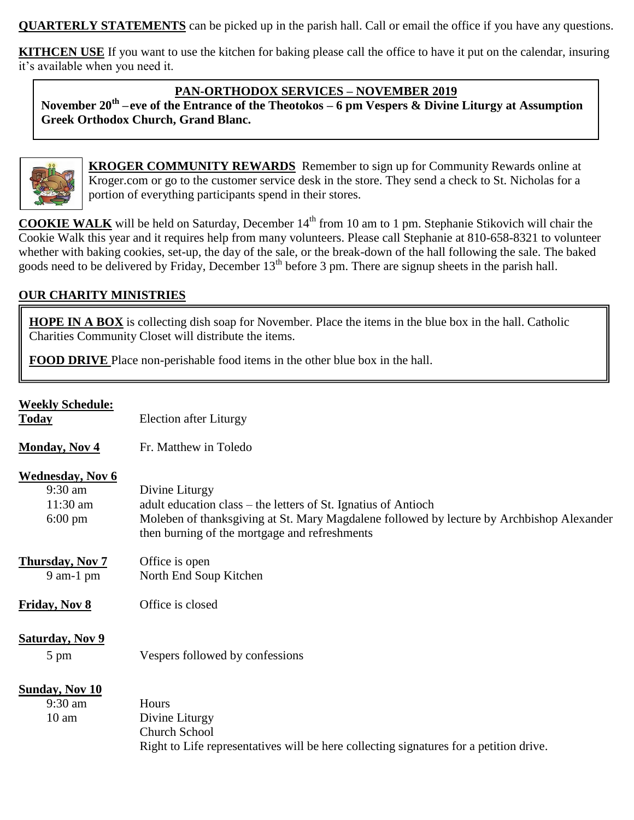**QUARTERLY STATEMENTS** can be picked up in the parish hall. Call or email the office if you have any questions.

**KITHCEN USE** If you want to use the kitchen for baking please call the office to have it put on the calendar, insuring it's available when you need it.

### **PAN-ORTHODOX SERVICES – NOVEMBER 2019**

**November 20th –eve of the Entrance of the Theotokos – 6 pm Vespers & Divine Liturgy at Assumption Greek Orthodox Church, Grand Blanc.**



**KROGER COMMUNITY REWARDS** Remember to sign up for Community Rewards online at Kroger.com or go to the customer service desk in the store. They send a check to St. Nicholas for a portion of everything participants spend in their stores.

**COOKIE WALK** will be held on Saturday, December 14<sup>th</sup> from 10 am to 1 pm. Stephanie Stikovich will chair the Cookie Walk this year and it requires help from many volunteers. Please call Stephanie at 810-658-8321 to volunteer whether with baking cookies, set-up, the day of the sale, or the break-down of the hall following the sale. The baked goods need to be delivered by Friday, December 13<sup>th</sup> before 3 pm. There are signup sheets in the parish hall.

# **OUR CHARITY MINISTRIES**

**HOPE IN A BOX** is collecting dish soap for November. Place the items in the blue box in the hall. Catholic Charities Community Closet will distribute the items.

**FOOD DRIVE** Place non-perishable food items in the other blue box in the hall.

| <b>Weekly Schedule:</b><br><b>Today</b>                                 | Election after Liturgy                                                                                                                                                                                                         |
|-------------------------------------------------------------------------|--------------------------------------------------------------------------------------------------------------------------------------------------------------------------------------------------------------------------------|
| <b>Monday, Nov 4</b>                                                    | Fr. Matthew in Toledo                                                                                                                                                                                                          |
| <b>Wednesday, Nov 6</b><br>$9:30$ am<br>$11:30$ am<br>$6:00 \text{ pm}$ | Divine Liturgy<br>adult education class – the letters of St. Ignatius of Antioch<br>Moleben of thanksgiving at St. Mary Magdalene followed by lecture by Archbishop Alexander<br>then burning of the mortgage and refreshments |
| <b>Thursday, Nov 7</b><br>$9$ am-1 pm                                   | Office is open<br>North End Soup Kitchen                                                                                                                                                                                       |
| <b>Friday, Nov 8</b>                                                    | Office is closed                                                                                                                                                                                                               |
| <b>Saturday, Nov 9</b><br>5 pm                                          | Vespers followed by confessions                                                                                                                                                                                                |
| <b>Sunday, Nov 10</b><br>$9:30$ am<br>10 <sub>am</sub>                  | Hours<br>Divine Liturgy<br><b>Church School</b><br>Right to Life representatives will be here collecting signatures for a petition drive.                                                                                      |